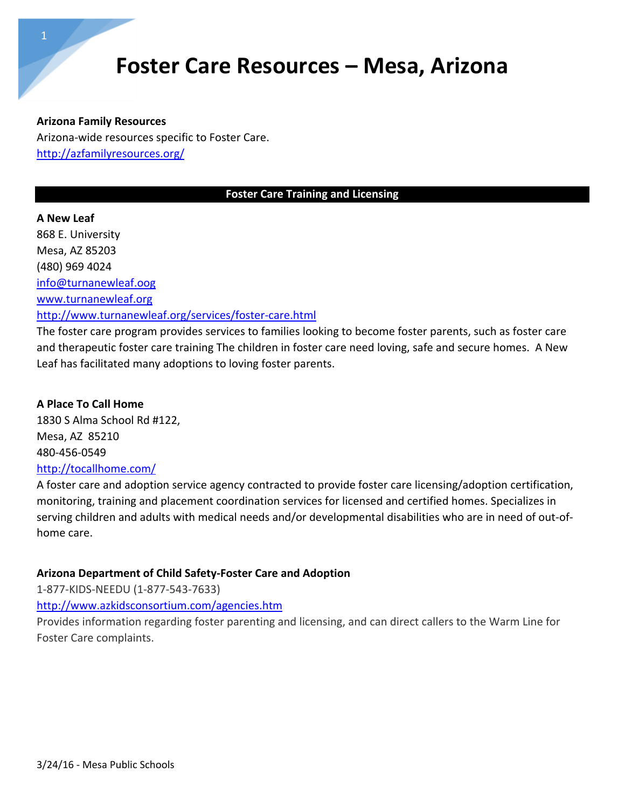# **Foster Care Resources – Mesa, Arizona**

#### **Arizona Family Resources**

Arizona-wide resources specific to Foster Care. <http://azfamilyresources.org/>

#### **Foster Care Training and Licensing**

#### **A New Leaf**

868 E. University Mesa, AZ 85203 (480) 969 4024 [info@turnanewleaf.oog](mailto:info@turnanewleaf.oog) [www.turnanewleaf.org](http://www.turnanewleaf.org/)

<http://www.turnanewleaf.org/services/foster-care.html>

The foster care program provides services to families looking to become foster parents, such as foster care and therapeutic foster care training The children in foster care need loving, safe and secure homes. A New Leaf has facilitated many adoptions to loving foster parents.

#### **A Place To Call Home**

1830 S Alma School Rd #122, Mesa, AZ 85210 480-456-0549 <http://tocallhome.com/>

A foster care and adoption service agency contracted to provide foster care licensing/adoption certification, monitoring, training and placement coordination services for licensed and certified homes. Specializes in serving children and adults with medical needs and/or developmental disabilities who are in need of out-ofhome care.

#### **Arizona Department of Child Safety-Foster Care and Adoption**

1-877-KIDS-NEEDU (1-877-543-7633)

<http://www.azkidsconsortium.com/agencies.htm>

Provides information regarding foster parenting and licensing, and can direct callers to the Warm Line for Foster Care complaints.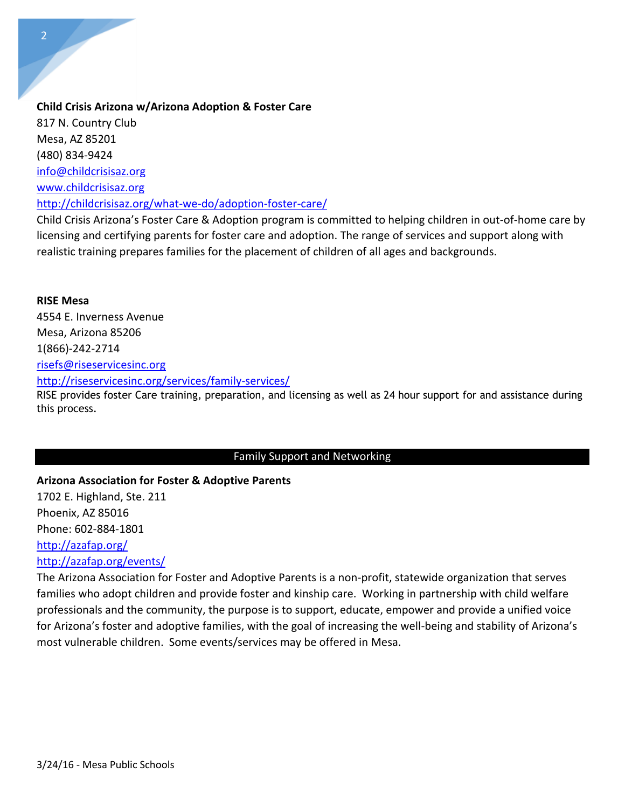#### **Child Crisis Arizona w/Arizona Adoption & Foster Care**

817 N. Country Club Mesa, AZ 85201 (480) 834-9424 [info@childcrisisaz.org](mailto:info@childcrisisaz.org) [www.childcrisisaz.org](http://www.childcrisisaz.org/) <http://childcrisisaz.org/what-we-do/adoption-foster-care/>

Child Crisis Arizona's Foster Care & Adoption program is committed to helping children in out-of-home care by licensing and certifying parents for foster care and adoption. The range of services and support along with realistic training prepares families for the placement of children of all ages and backgrounds.

**RISE Mesa** 4554 E. Inverness Avenue Mesa, Arizona 85206 1(866)-242-2714 [risefs@riseservicesinc.org](mailto:risefs@riseservicesinc.org) <http://riseservicesinc.org/services/family-services/>

RISE provides foster Care training, preparation, and licensing as well as 24 hour support for and assistance during this process.

#### Family Support and Networking

#### **Arizona Association for Foster & Adoptive Parents**

1702 E. Highland, Ste. 211 Phoenix, AZ 85016 Phone: 602-884-1801 <http://azafap.org/> <http://azafap.org/events/>

The Arizona Association for Foster and Adoptive Parents is a non-profit, statewide organization that serves families who adopt children and provide foster and kinship care. Working in partnership with child welfare professionals and the community, the purpose is to support, educate, empower and provide a unified voice for Arizona's foster and adoptive families, with the goal of increasing the well-being and stability of Arizona's most vulnerable children. Some events/services may be offered in Mesa.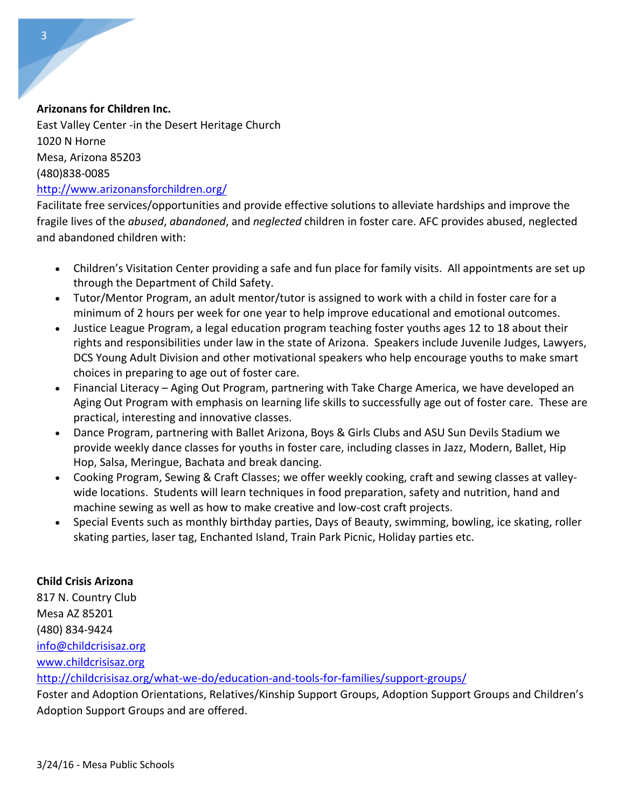#### **Arizonans for Children Inc.**

East Valley Center -in the Desert Heritage Church 1020 N Horne Mesa, Arizona 85203 (480)838-0085

#### <http://www.arizonansforchildren.org/>

Facilitate free services/opportunities and provide effective solutions to alleviate hardships and improve the fragile lives of the *abused*, *abandoned*, and *neglected* children in foster care. AFC provides abused, neglected and abandoned children with:

- Children's Visitation Center providing a safe and fun place for family visits. All appointments are set up through the Department of Child Safety.
- Tutor/Mentor Program, an adult mentor/tutor is assigned to work with a child in foster care for a minimum of 2 hours per week for one year to help improve educational and emotional outcomes.
- Justice League Program, a legal education program teaching foster youths ages 12 to 18 about their rights and responsibilities under law in the state of Arizona. Speakers include Juvenile Judges, Lawyers, DCS Young Adult Division and other motivational speakers who help encourage youths to make smart choices in preparing to age out of foster care.
- Financial Literacy Aging Out Program, partnering with Take Charge America, we have developed an Aging Out Program with emphasis on learning life skills to successfully age out of foster care. These are practical, interesting and innovative classes.
- Dance Program, partnering with Ballet Arizona, Boys & Girls Clubs and ASU Sun Devils Stadium we provide weekly dance classes for youths in foster care, including classes in Jazz, Modern, Ballet, Hip Hop, Salsa, Meringue, Bachata and break dancing.
- Cooking Program, Sewing & Craft Classes; we offer weekly cooking, craft and sewing classes at valleywide locations. Students will learn techniques in food preparation, safety and nutrition, hand and machine sewing as well as how to make creative and low-cost craft projects.
- Special Events such as monthly birthday parties, Days of Beauty, swimming, bowling, ice skating, roller skating parties, laser tag, Enchanted Island, Train Park Picnic, Holiday parties etc.

#### **Child Crisis Arizona**

817 N. Country Club Mesa AZ 85201 (480) 834-9424 [info@childcrisisaz.org](mailto:info@childcrisisaz.org) [www.childcrisisaz.org](http://www.childcrisisaz.org/) <http://childcrisisaz.org/what-we-do/education-and-tools-for-families/support-groups/>

Foster and Adoption Orientations, Relatives/Kinship Support Groups, Adoption Support Groups and Children's Adoption Support Groups and are offered.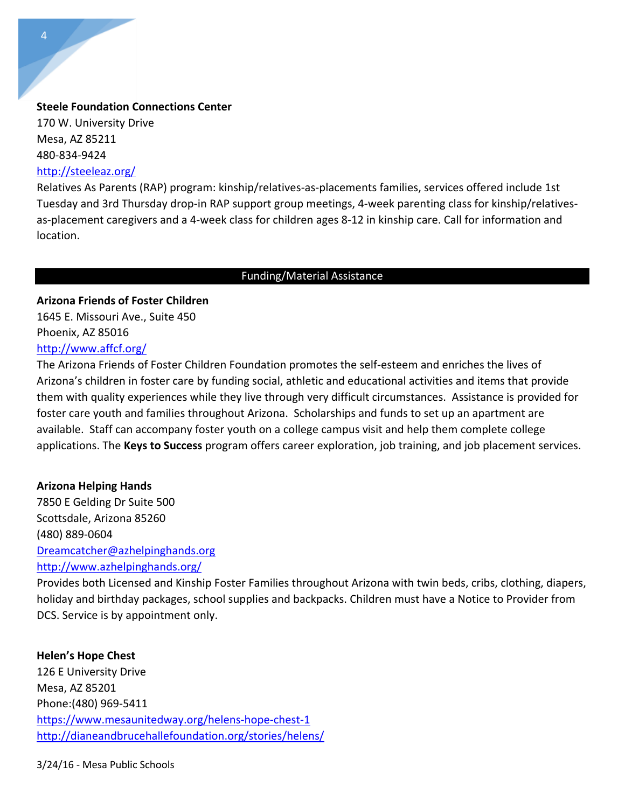#### **Steele Foundation Connections Center**

170 W. University Drive Mesa, AZ 85211 480-834-9424 <http://steeleaz.org/>

Relatives As Parents (RAP) program: kinship/relatives-as-placements families, services offered include 1st Tuesday and 3rd Thursday drop-in RAP support group meetings, 4-week parenting class for kinship/relativesas-placement caregivers and a 4-week class for children ages 8-12 in kinship care. Call for information and location.

#### Funding/Material Assistance

# **Arizona Friends of Foster Children**

1645 E. Missouri Ave., Suite 450 Phoenix, AZ 85016 <http://www.affcf.org/>

The Arizona Friends of Foster Children Foundation promotes the self-esteem and enriches the lives of Arizona's children in foster care by funding social, athletic and educational activities and items that provide them with quality experiences while they live through very difficult circumstances. Assistance is provided for foster care youth and families throughout Arizona. Scholarships and funds to set up an apartment are available. Staff can accompany foster youth on a college campus visit and help them complete college applications. The **Keys to Success** program offers career exploration, job training, and job placement services.

#### **Arizona Helping Hands**

7850 E Gelding Dr Suite 500 Scottsdale, Arizona 85260 (480) 889-0604 [Dreamcatcher@azhelpinghands.org](mailto:Dreamcatcher@azhelpinghands.org) <http://www.azhelpinghands.org/>

Provides both Licensed and Kinship Foster Families throughout Arizona with twin beds, cribs, clothing, diapers, holiday and birthday packages, school supplies and backpacks. Children must have a Notice to Provider from DCS. Service is by appointment only.

#### **Helen's Hope Chest**

126 E University Drive Mesa, AZ 85201 Phone:(480) 969-5411 <https://www.mesaunitedway.org/helens-hope-chest-1> <http://dianeandbrucehallefoundation.org/stories/helens/>

3/24/16 - Mesa Public Schools

4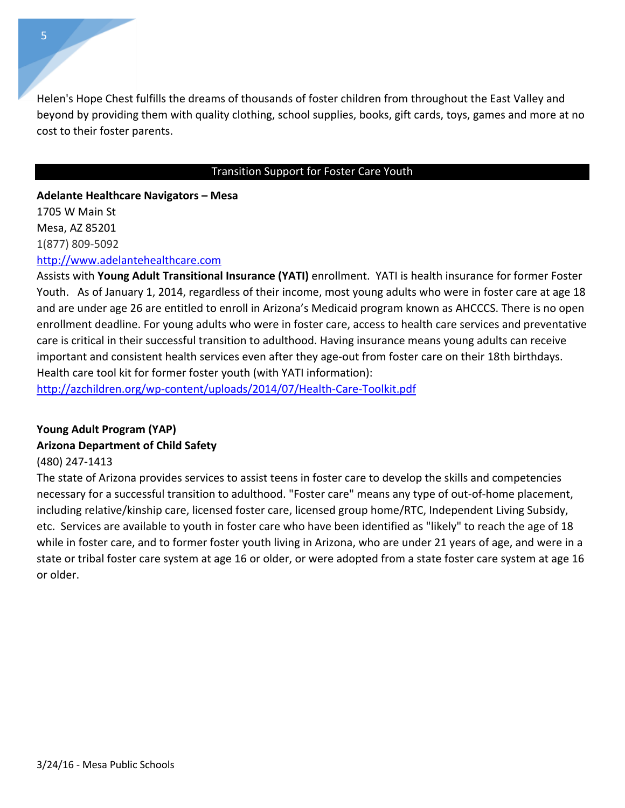Helen's Hope Chest fulfills the dreams of thousands of foster children from throughout the East Valley and beyond by providing them with quality clothing, school supplies, books, gift cards, toys, games and more at no cost to their foster parents.

#### Transition Support for Foster Care Youth

**Adelante Healthcare Navigators – Mesa**

1705 W Main St Mesa, AZ 85201 1(877) 809-5092

#### [http://www.adelantehealthcare.com](http://www.adelantehealthcare.com/)

Assists with **Young Adult Transitional Insurance (YATI)** enrollment. YATI is health insurance for former Foster Youth. As of January 1, 2014, regardless of their income, most young adults who were in foster care at age 18 and are under age 26 are entitled to enroll in Arizona's Medicaid program known as AHCCCS. There is no open enrollment deadline. For young adults who were in foster care, access to health care services and preventative care is critical in their successful transition to adulthood. Having insurance means young adults can receive important and consistent health services even after they age-out from foster care on their 18th birthdays. Health care tool kit for former foster youth (with YATI information): <http://azchildren.org/wp-content/uploads/2014/07/Health-Care-Toolkit.pdf>

#### **Young Adult Program (YAP) Arizona Department of Child Safety**

#### (480) 247-1413

The state of Arizona provides services to assist teens in foster care to develop the skills and competencies necessary for a successful transition to adulthood. "Foster care" means any type of out-of-home placement, including relative/kinship care, licensed foster care, licensed group home/RTC, Independent Living Subsidy, etc. Services are available to youth in foster care who have been identified as "likely" to reach the age of 18 while in foster care, and to former foster youth living in Arizona, who are under 21 years of age, and were in a state or tribal foster care system at age 16 or older, or were adopted from a state foster care system at age 16 or older.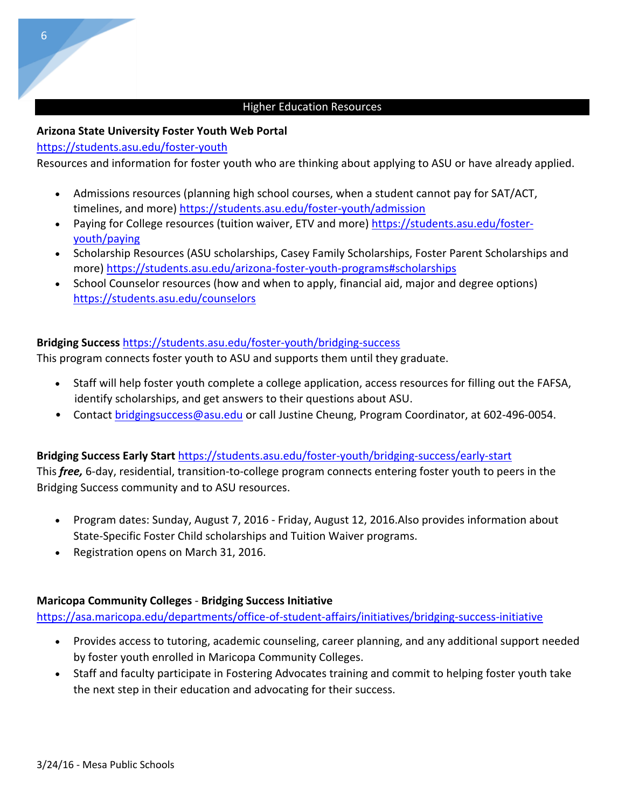#### Higher Education Resources

### **Arizona State University Foster Youth Web Portal**

<https://students.asu.edu/foster-youth>

Resources and information for foster youth who are thinking about applying to ASU or have already applied.

- Admissions resources (planning high school courses, when a student cannot pay for SAT/ACT, timelines, and more)<https://students.asu.edu/foster-youth/admission>
- Paying for College resources (tuition waiver, ETV and more) [https://students.asu.edu/foster](https://students.asu.edu/foster-youth/paying)[youth/paying](https://students.asu.edu/foster-youth/paying)
- Scholarship Resources (ASU scholarships, Casey Family Scholarships, Foster Parent Scholarships and more)<https://students.asu.edu/arizona-foster-youth-programs#scholarships>
- School Counselor resources (how and when to apply, financial aid, major and degree options) <https://students.asu.edu/counselors>

### **Bridging Success** <https://students.asu.edu/foster-youth/bridging-success>

This program connects foster youth to ASU and supports them until they graduate.

- Staff will help foster youth complete a college application, access resources for filling out the FAFSA, identify scholarships, and get answers to their questions about ASU.
- Contact [bridgingsuccess@asu.edu](mailto:bridgingsuccess@asu.edu) or call Justine Cheung, Program Coordinator, at 602-496-0054.

# **Bridging Success Early Start** <https://students.asu.edu/foster-youth/bridging-success/early-start> This *free,* 6-day, residential, transition-to-college program connects entering foster youth to peers in the

Bridging Success community and to ASU resources.

- Program dates: Sunday, August 7, 2016 Friday, August 12, 2016.Also provides information about State-Specific Foster Child scholarships and Tuition Waiver programs.
- Registration opens on March 31, 2016.

## **Maricopa Community Colleges** - **Bridging Success Initiative**

<https://asa.maricopa.edu/departments/office-of-student-affairs/initiatives/bridging-success-initiative>

- Provides access to tutoring, academic counseling, career planning, and any additional support needed by foster youth enrolled in Maricopa Community Colleges.
- Staff and faculty participate in Fostering Advocates training and commit to helping foster youth take the next step in their education and advocating for their success.